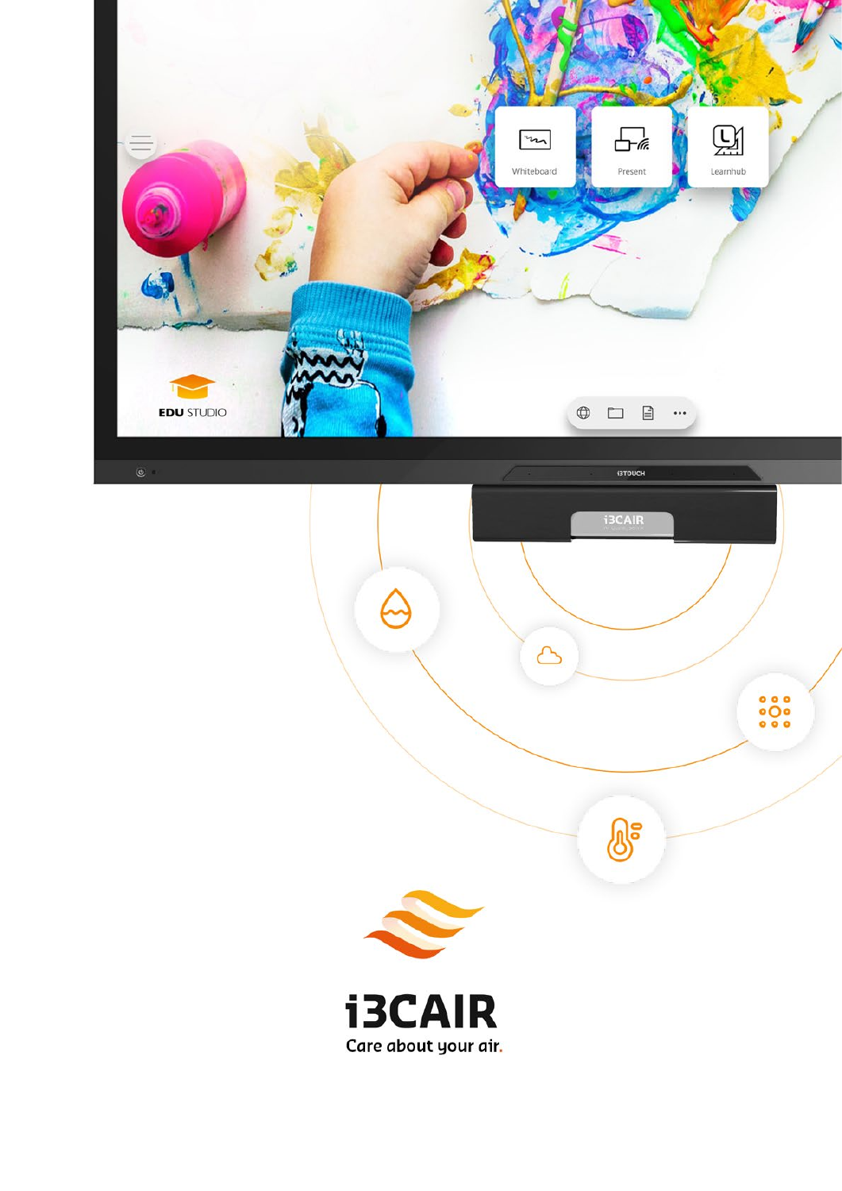

 $\ddot{\circ} \ddot{\circ} \ddot{\circ}$ 

இ



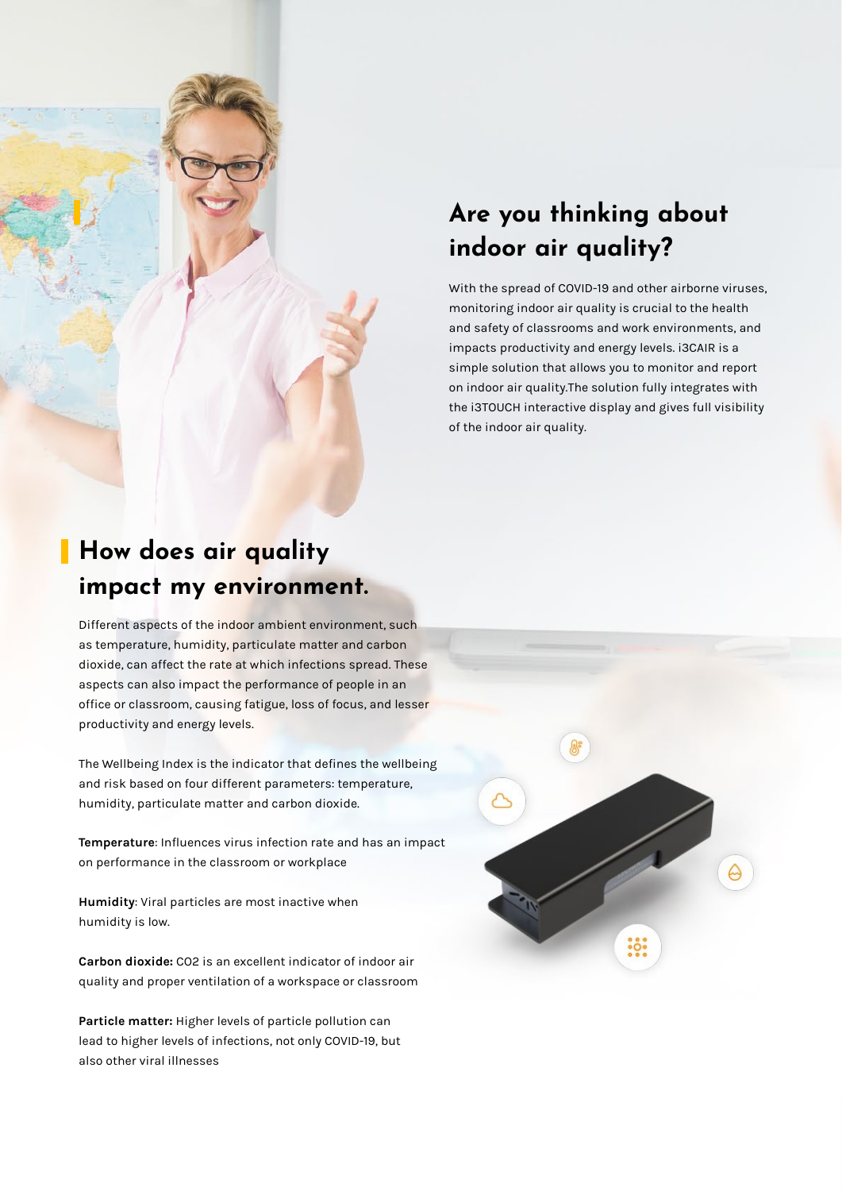

With the spread of COVID-19 and other airborne viruses, monitoring indoor air quality is crucial to the health and safety of classrooms and work environments, and impacts productivity and energy levels. i3CAIR is a simple solution that allows you to monitor and report on indoor air quality.The solution fully integrates with the i3TOUCH interactive display and gives full visibility of the indoor air quality.

# **How does air quality impact my environment.**

Different aspects of the indoor ambient environment, such as temperature, humidity, particulate matter and carbon dioxide, can affect the rate at which infections spread. These aspects can also impact the performance of people in an office or classroom, causing fatigue, loss of focus, and lesser productivity and energy levels.

The Wellbeing Index is the indicator that defines the wellbeing and risk based on four different parameters: temperature, humidity, particulate matter and carbon dioxide.

**Temperature**: Influences virus infection rate and has an impact on performance in the classroom or workplace

**Humidity**: Viral particles are most inactive when humidity is low.

**Carbon dioxide:** CO2 is an excellent indicator of indoor air quality and proper ventilation of a workspace or classroom

**Particle matter:** Higher levels of particle pollution can lead to higher levels of infections, not only COVID-19, but also other viral illnesses

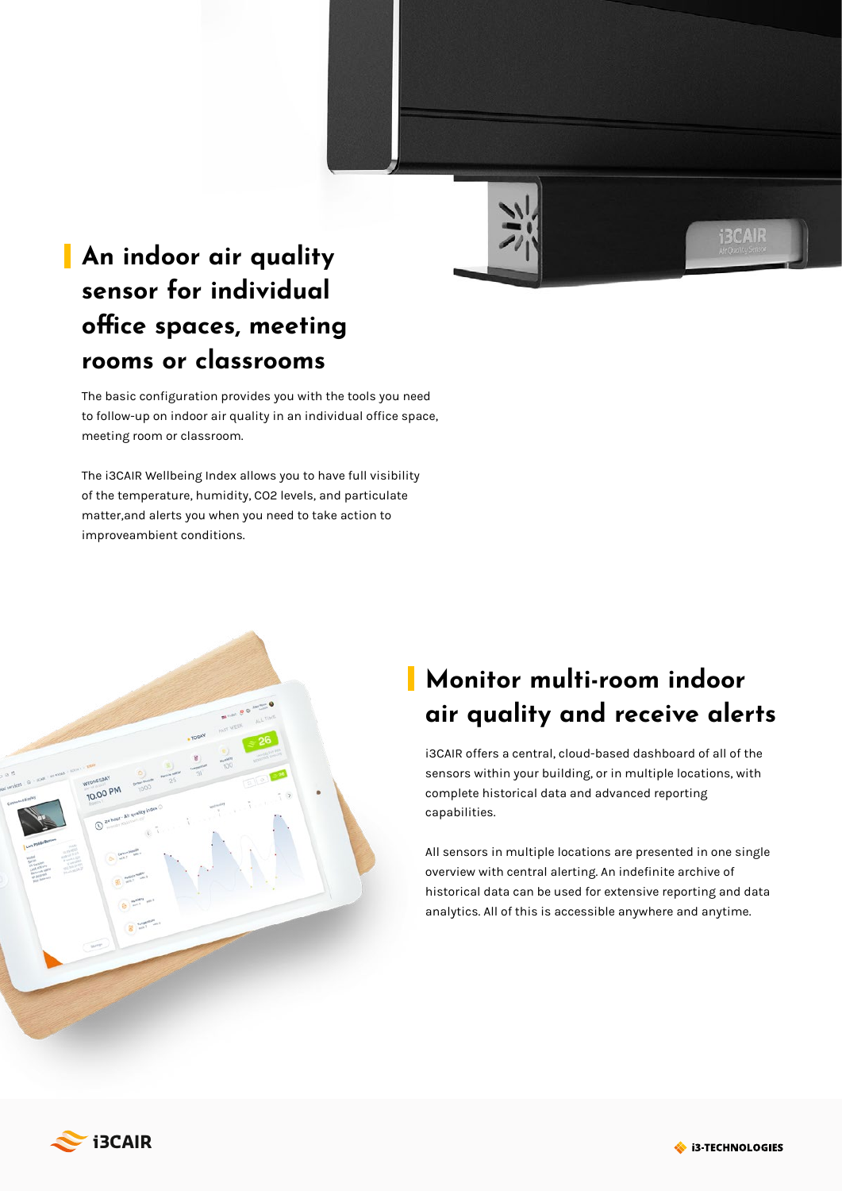

**BCAIR** 

# **An indoor air quality sensor for individual office spaces, meeting rooms or classrooms**

The basic configuration provides you with the tools you need to follow-up on indoor air quality in an individual office space, meeting room or classroom.

The i3CAIR Wellbeing Index allows you to have full visibility of the temperature, humidity, CO2 levels, and particulate matter,and alerts you when you need to take action to improveambient conditions.



# **Monitor multi-room indoor air quality and receive alerts**

i3CAIR offers a central, cloud-based dashboard of all of the sensors within your building, or in multiple locations, with complete historical data and advanced reporting capabilities.

All sensors in multiple locations are presented in one single overview with central alerting. An indefinite archive of historical data can be used for extensive reporting and data analytics. All of this is accessible anywhere and anytime.



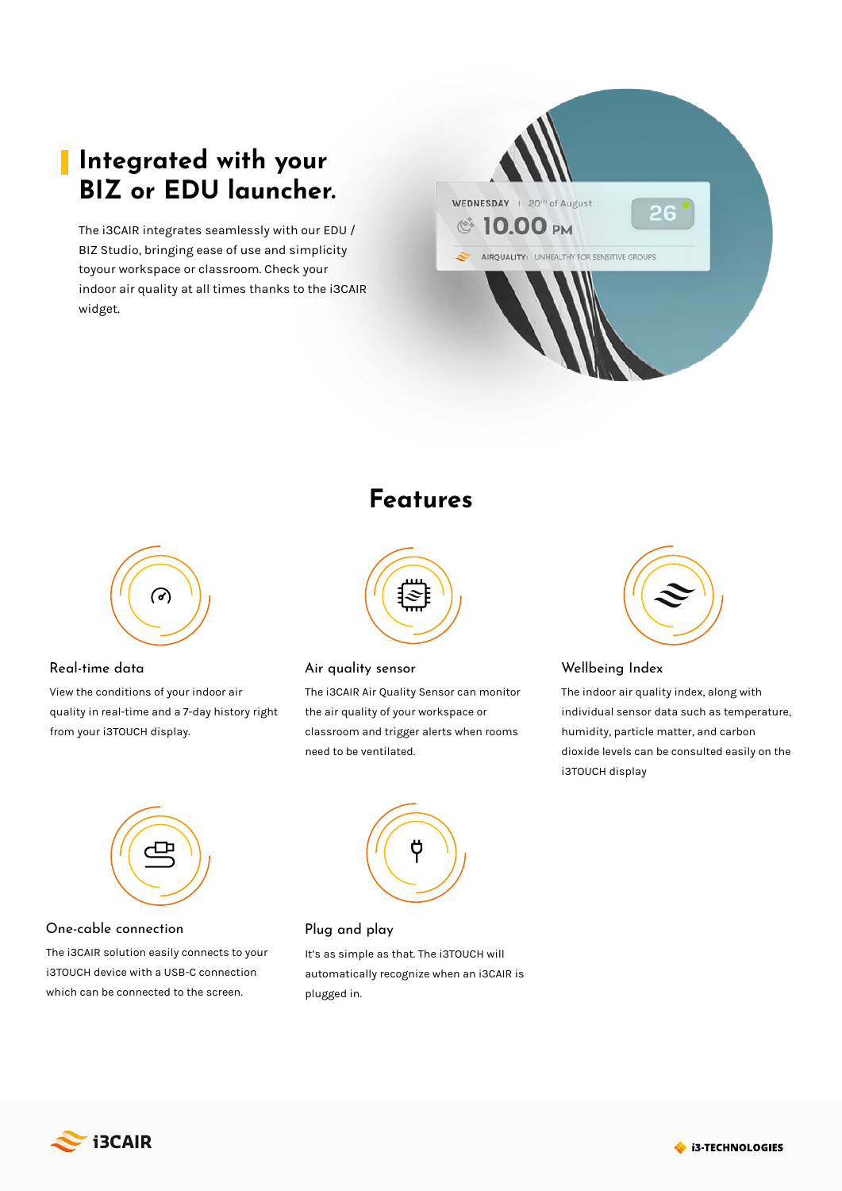# **Integrated with your BIZ or EDU launcher.**

The i3CAIR integrates seamlessly with our EDU / BIZ Studio, bringing ease of use and simplicity toyour workspace or classroom. Check your indoor air quality at all times thanks to the i3CAIR widget.





View the conditions of your indoor air quality in real-time and a 7-day history right from your i3TOUCH display.

## **Features**



#### Real-time data Air quality sensor

The i3CAIR Air Quality Sensor can monitor the air quality of your workspace or classroom and trigger alerts when rooms need to be ventilated.



#### Wellbeing Index

The indoor air quality index, along with individual sensor data such as temperature, humidity, particle matter, and carbon dioxide levels can be consulted easily on the i3TOUCH display



#### One-cable connection

The i3CAIR solution easily connects to your i3TOUCH device with a USB-C connection which can be connected to the screen.



### Plug and play

It's as simple as that. The i3TOUCH will automatically recognize when an i3CAIR is plugged in.